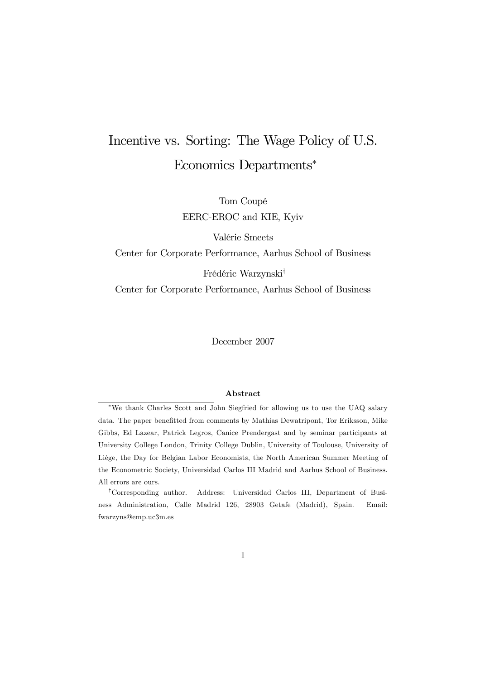# Incentive vs. Sorting: The Wage Policy of U.S. Economics Departments<sup>∗</sup>

Tom Coupé EERC-EROC and KIE, Kyiv

Valérie Smeets

Center for Corporate Performance, Aarhus School of Business

Frédéric Warzynski†

Center for Corporate Performance, Aarhus School of Business

December 2007

#### Abstract

<sup>∗</sup>We thank Charles Scott and John Siegfried for allowing us to use the UAQ salary data. The paper benefitted from comments by Mathias Dewatripont, Tor Eriksson, Mike Gibbs, Ed Lazear, Patrick Legros, Canice Prendergast and by seminar participants at University College London, Trinity College Dublin, University of Toulouse, University of Liège, the Day for Belgian Labor Economists, the North American Summer Meeting of the Econometric Society, Universidad Carlos III Madrid and Aarhus School of Business. All errors are ours.

<sup>†</sup>Corresponding author. Address: Universidad Carlos III, Department of Business Administration, Calle Madrid 126, 28903 Getafe (Madrid), Spain. Email: fwarzyns@emp.uc3m.es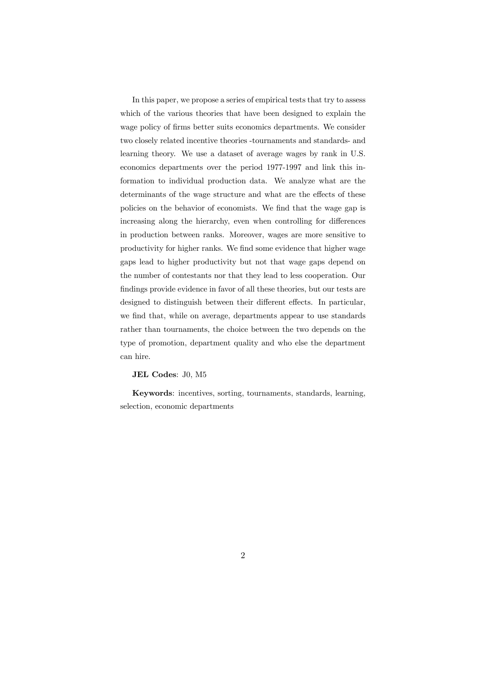In this paper, we propose a series of empirical tests that try to assess which of the various theories that have been designed to explain the wage policy of firms better suits economics departments. We consider two closely related incentive theories -tournaments and standards- and learning theory. We use a dataset of average wages by rank in U.S. economics departments over the period 1977-1997 and link this information to individual production data. We analyze what are the determinants of the wage structure and what are the effects of these policies on the behavior of economists. We find that the wage gap is increasing along the hierarchy, even when controlling for differences in production between ranks. Moreover, wages are more sensitive to productivity for higher ranks. We find some evidence that higher wage gaps lead to higher productivity but not that wage gaps depend on the number of contestants nor that they lead to less cooperation. Our findings provide evidence in favor of all these theories, but our tests are designed to distinguish between their different effects. In particular, we find that, while on average, departments appear to use standards rather than tournaments, the choice between the two depends on the type of promotion, department quality and who else the department can hire.

#### JEL Codes: J0, M5

Keywords: incentives, sorting, tournaments, standards, learning, selection, economic departments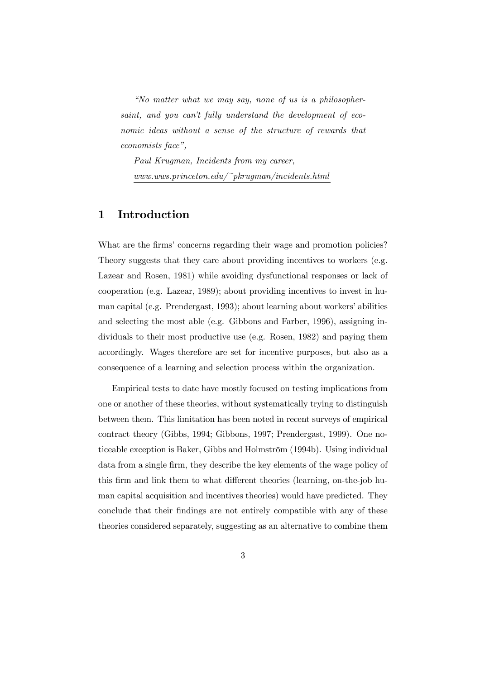"No matter what we may say, none of us is a philosophersaint, and you can't fully understand the development of economic ideas without a sense of the structure of rewards that economists face",

Paul Krugman, Incidents from my career, www.wws.princeton.edu/~pkrugman/incidents.html

# 1 Introduction

What are the firms' concerns regarding their wage and promotion policies? Theory suggests that they care about providing incentives to workers (e.g. Lazear and Rosen, 1981) while avoiding dysfunctional responses or lack of cooperation (e.g. Lazear, 1989); about providing incentives to invest in human capital (e.g. Prendergast, 1993); about learning about workers' abilities and selecting the most able (e.g. Gibbons and Farber, 1996), assigning individuals to their most productive use (e.g. Rosen, 1982) and paying them accordingly. Wages therefore are set for incentive purposes, but also as a consequence of a learning and selection process within the organization.

Empirical tests to date have mostly focused on testing implications from one or another of these theories, without systematically trying to distinguish between them. This limitation has been noted in recent surveys of empirical contract theory (Gibbs, 1994; Gibbons, 1997; Prendergast, 1999). One noticeable exception is Baker, Gibbs and Holmström (1994b). Using individual data from a single firm, they describe the key elements of the wage policy of this firm and link them to what different theories (learning, on-the-job human capital acquisition and incentives theories) would have predicted. They conclude that their findings are not entirely compatible with any of these theories considered separately, suggesting as an alternative to combine them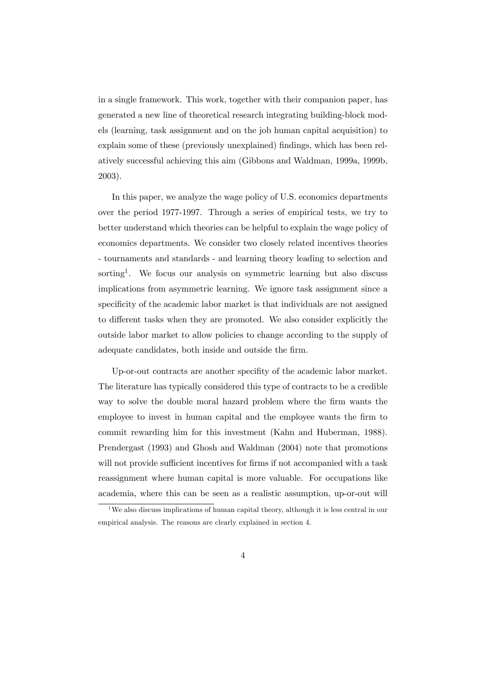in a single framework. This work, together with their companion paper, has generated a new line of theoretical research integrating building-block models (learning, task assignment and on the job human capital acquisition) to explain some of these (previously unexplained) findings, which has been relatively successful achieving this aim (Gibbons and Waldman, 1999a, 1999b, 2003).

In this paper, we analyze the wage policy of U.S. economics departments over the period 1977-1997. Through a series of empirical tests, we try to better understand which theories can be helpful to explain the wage policy of economics departments. We consider two closely related incentives theories - tournaments and standards - and learning theory leading to selection and sorting<sup>1</sup>. We focus our analysis on symmetric learning but also discuss implications from asymmetric learning. We ignore task assignment since a specificity of the academic labor market is that individuals are not assigned to different tasks when they are promoted. We also consider explicitly the outside labor market to allow policies to change according to the supply of adequate candidates, both inside and outside the firm.

Up-or-out contracts are another specifity of the academic labor market. The literature has typically considered this type of contracts to be a credible way to solve the double moral hazard problem where the firm wants the employee to invest in human capital and the employee wants the firm to commit rewarding him for this investment (Kahn and Huberman, 1988). Prendergast (1993) and Ghosh and Waldman (2004) note that promotions will not provide sufficient incentives for firms if not accompanied with a task reassignment where human capital is more valuable. For occupations like academia, where this can be seen as a realistic assumption, up-or-out will

 $1$ We also discuss implications of human capital theory, although it is less central in our empirical analysis. The reasons are clearly explained in section 4.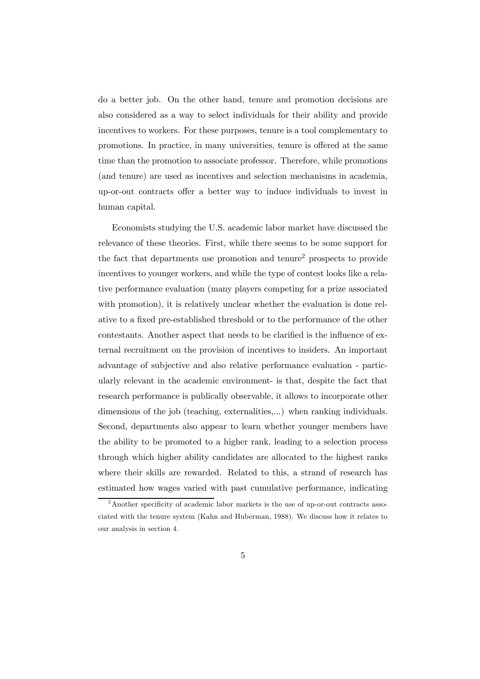do a better job. On the other hand, tenure and promotion decisions are also considered as a way to select individuals for their ability and provide incentives to workers. For these purposes, tenure is a tool complementary to promotions. In practice, in many universities, tenure is offered at the same time than the promotion to associate professor. Therefore, while promotions (and tenure) are used as incentives and selection mechanisms in academia, up-or-out contracts offer a better way to induce individuals to invest in human capital.

Economists studying the U.S. academic labor market have discussed the relevance of these theories. First, while there seems to be some support for the fact that departments use promotion and tenure2 prospects to provide incentives to younger workers, and while the type of contest looks like a relative performance evaluation (many players competing for a prize associated with promotion), it is relatively unclear whether the evaluation is done relative to a fixed pre-established threshold or to the performance of the other contestants. Another aspect that needs to be clarified is the influence of external recruitment on the provision of incentives to insiders. An important advantage of subjective and also relative performance evaluation - particularly relevant in the academic environment- is that, despite the fact that research performance is publically observable, it allows to incorporate other dimensions of the job (teaching, externalities,...) when ranking individuals. Second, departments also appear to learn whether younger members have the ability to be promoted to a higher rank, leading to a selection process through which higher ability candidates are allocated to the highest ranks where their skills are rewarded. Related to this, a strand of research has estimated how wages varied with past cumulative performance, indicating

<sup>2</sup>Another specificity of academic labor markets is the use of up-or-out contracts associated with the tenure system (Kahn and Huberman, 1988). We discuss how it relates to our analysis in section 4.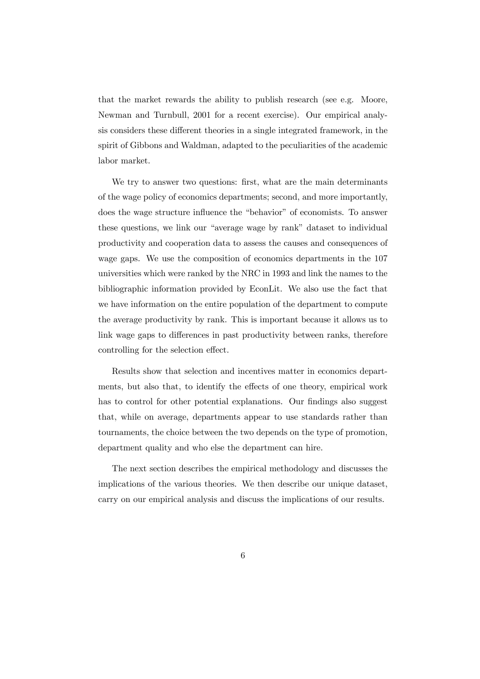that the market rewards the ability to publish research (see e.g. Moore, Newman and Turnbull, 2001 for a recent exercise). Our empirical analysis considers these different theories in a single integrated framework, in the spirit of Gibbons and Waldman, adapted to the peculiarities of the academic labor market.

We try to answer two questions: first, what are the main determinants of the wage policy of economics departments; second, and more importantly, does the wage structure influence the "behavior" of economists. To answer these questions, we link our "average wage by rank" dataset to individual productivity and cooperation data to assess the causes and consequences of wage gaps. We use the composition of economics departments in the 107 universities which were ranked by the NRC in 1993 and link the names to the bibliographic information provided by EconLit. We also use the fact that we have information on the entire population of the department to compute the average productivity by rank. This is important because it allows us to link wage gaps to differences in past productivity between ranks, therefore controlling for the selection effect.

Results show that selection and incentives matter in economics departments, but also that, to identify the effects of one theory, empirical work has to control for other potential explanations. Our findings also suggest that, while on average, departments appear to use standards rather than tournaments, the choice between the two depends on the type of promotion, department quality and who else the department can hire.

The next section describes the empirical methodology and discusses the implications of the various theories. We then describe our unique dataset, carry on our empirical analysis and discuss the implications of our results.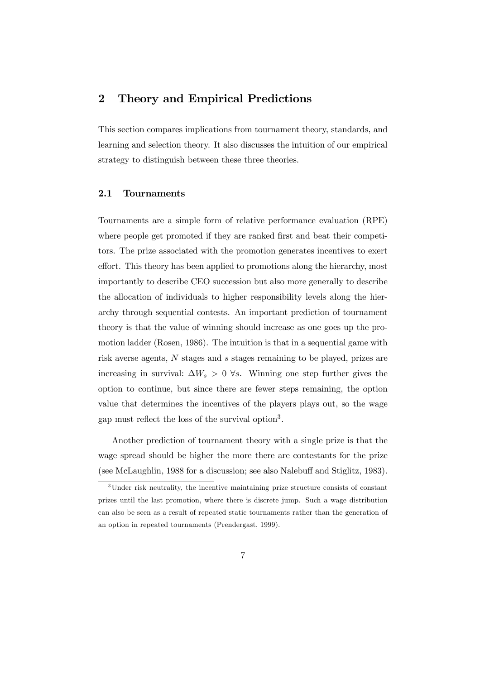# 2 Theory and Empirical Predictions

This section compares implications from tournament theory, standards, and learning and selection theory. It also discusses the intuition of our empirical strategy to distinguish between these three theories.

## 2.1 Tournaments

Tournaments are a simple form of relative performance evaluation (RPE) where people get promoted if they are ranked first and beat their competitors. The prize associated with the promotion generates incentives to exert effort. This theory has been applied to promotions along the hierarchy, most importantly to describe CEO succession but also more generally to describe the allocation of individuals to higher responsibility levels along the hierarchy through sequential contests. An important prediction of tournament theory is that the value of winning should increase as one goes up the promotion ladder (Rosen, 1986). The intuition is that in a sequential game with risk averse agents, N stages and s stages remaining to be played, prizes are increasing in survival:  $\Delta W_s > 0$  ∀s. Winning one step further gives the option to continue, but since there are fewer steps remaining, the option value that determines the incentives of the players plays out, so the wage gap must reflect the loss of the survival option3.

Another prediction of tournament theory with a single prize is that the wage spread should be higher the more there are contestants for the prize (see McLaughlin, 1988 for a discussion; see also Nalebuff and Stiglitz, 1983).

<sup>3</sup>Under risk neutrality, the incentive maintaining prize structure consists of constant prizes until the last promotion, where there is discrete jump. Such a wage distribution can also be seen as a result of repeated static tournaments rather than the generation of an option in repeated tournaments (Prendergast, 1999).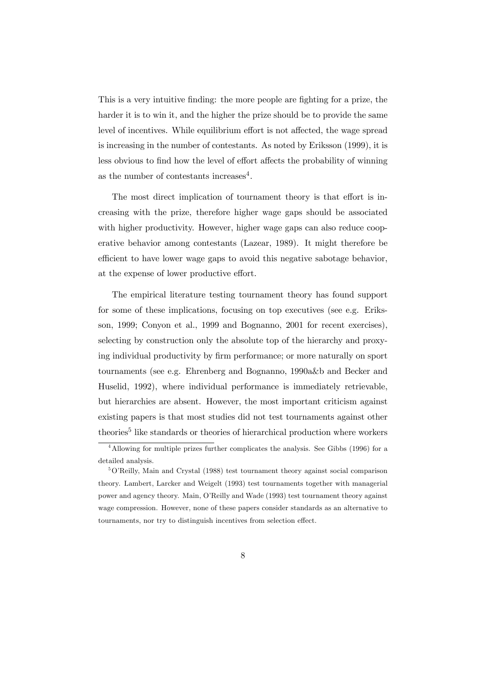This is a very intuitive finding: the more people are fighting for a prize, the harder it is to win it, and the higher the prize should be to provide the same level of incentives. While equilibrium effort is not affected, the wage spread is increasing in the number of contestants. As noted by Eriksson (1999), it is less obvious to find how the level of effort affects the probability of winning as the number of contestants increases $4$ .

The most direct implication of tournament theory is that effort is increasing with the prize, therefore higher wage gaps should be associated with higher productivity. However, higher wage gaps can also reduce cooperative behavior among contestants (Lazear, 1989). It might therefore be efficient to have lower wage gaps to avoid this negative sabotage behavior, at the expense of lower productive effort.

The empirical literature testing tournament theory has found support for some of these implications, focusing on top executives (see e.g. Eriksson, 1999; Conyon et al., 1999 and Bognanno, 2001 for recent exercises), selecting by construction only the absolute top of the hierarchy and proxying individual productivity by firm performance; or more naturally on sport tournaments (see e.g. Ehrenberg and Bognanno, 1990a&b and Becker and Huselid, 1992), where individual performance is immediately retrievable, but hierarchies are absent. However, the most important criticism against existing papers is that most studies did not test tournaments against other theories<sup>5</sup> like standards or theories of hierarchical production where workers

<sup>&</sup>lt;sup>4</sup>Allowing for multiple prizes further complicates the analysis. See Gibbs (1996) for a detailed analysis.

<sup>5</sup>O'Reilly, Main and Crystal (1988) test tournament theory against social comparison theory. Lambert, Larcker and Weigelt (1993) test tournaments together with managerial power and agency theory. Main, O'Reilly and Wade (1993) test tournament theory against wage compression. However, none of these papers consider standards as an alternative to tournaments, nor try to distinguish incentives from selection effect.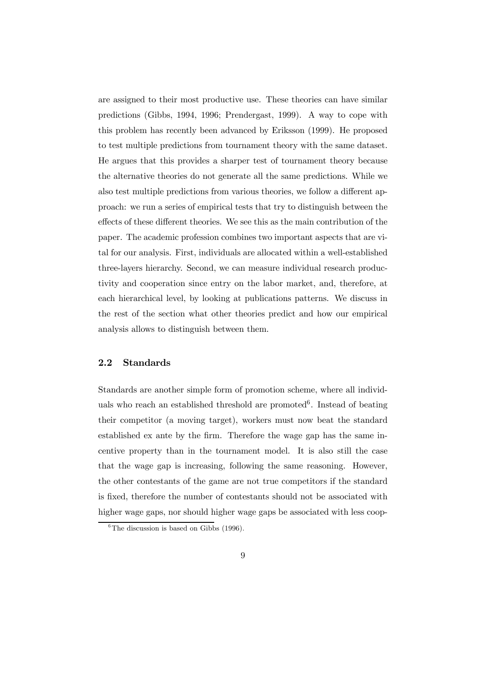are assigned to their most productive use. These theories can have similar predictions (Gibbs, 1994, 1996; Prendergast, 1999). A way to cope with this problem has recently been advanced by Eriksson (1999). He proposed to test multiple predictions from tournament theory with the same dataset. He argues that this provides a sharper test of tournament theory because the alternative theories do not generate all the same predictions. While we also test multiple predictions from various theories, we follow a different approach: we run a series of empirical tests that try to distinguish between the effects of these different theories. We see this as the main contribution of the paper. The academic profession combines two important aspects that are vital for our analysis. First, individuals are allocated within a well-established three-layers hierarchy. Second, we can measure individual research productivity and cooperation since entry on the labor market, and, therefore, at each hierarchical level, by looking at publications patterns. We discuss in the rest of the section what other theories predict and how our empirical analysis allows to distinguish between them.

## 2.2 Standards

Standards are another simple form of promotion scheme, where all individuals who reach an established threshold are promoted  $6$ . Instead of beating their competitor (a moving target), workers must now beat the standard established ex ante by the firm. Therefore the wage gap has the same incentive property than in the tournament model. It is also still the case that the wage gap is increasing, following the same reasoning. However, the other contestants of the game are not true competitors if the standard is fixed, therefore the number of contestants should not be associated with higher wage gaps, nor should higher wage gaps be associated with less coop-

 $6$ The discussion is based on Gibbs (1996).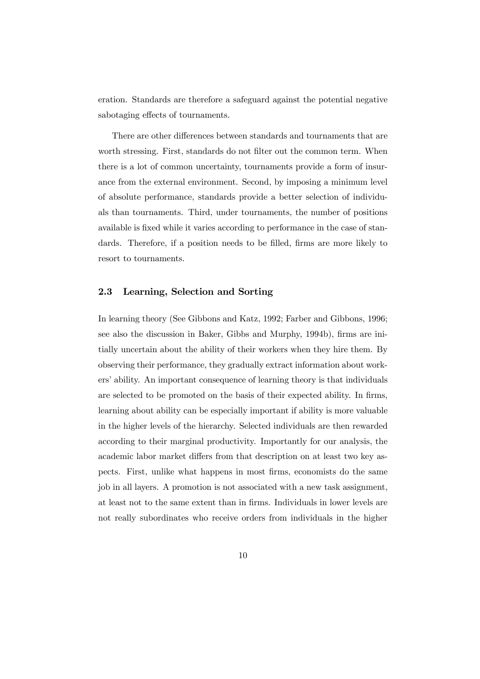eration. Standards are therefore a safeguard against the potential negative sabotaging effects of tournaments.

There are other differences between standards and tournaments that are worth stressing. First, standards do not filter out the common term. When there is a lot of common uncertainty, tournaments provide a form of insurance from the external environment. Second, by imposing a minimum level of absolute performance, standards provide a better selection of individuals than tournaments. Third, under tournaments, the number of positions available is fixed while it varies according to performance in the case of standards. Therefore, if a position needs to be filled, firms are more likely to resort to tournaments.

#### 2.3 Learning, Selection and Sorting

In learning theory (See Gibbons and Katz, 1992; Farber and Gibbons, 1996; see also the discussion in Baker, Gibbs and Murphy, 1994b), firms are initially uncertain about the ability of their workers when they hire them. By observing their performance, they gradually extract information about workers' ability. An important consequence of learning theory is that individuals are selected to be promoted on the basis of their expected ability. In firms, learning about ability can be especially important if ability is more valuable in the higher levels of the hierarchy. Selected individuals are then rewarded according to their marginal productivity. Importantly for our analysis, the academic labor market differs from that description on at least two key aspects. First, unlike what happens in most firms, economists do the same job in all layers. A promotion is not associated with a new task assignment, at least not to the same extent than in firms. Individuals in lower levels are not really subordinates who receive orders from individuals in the higher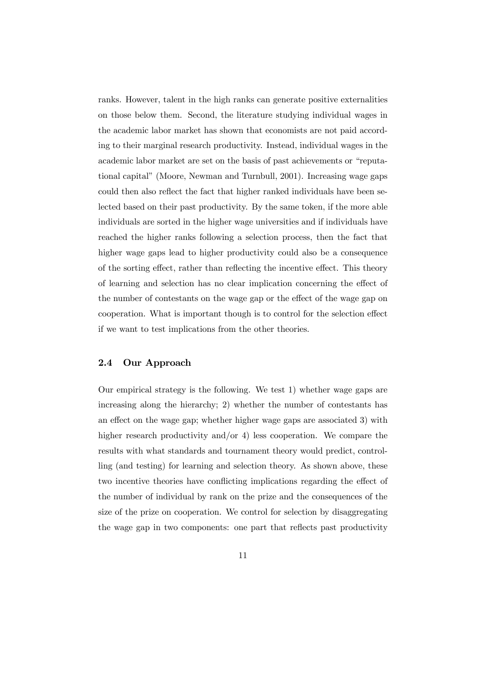ranks. However, talent in the high ranks can generate positive externalities on those below them. Second, the literature studying individual wages in the academic labor market has shown that economists are not paid according to their marginal research productivity. Instead, individual wages in the academic labor market are set on the basis of past achievements or "reputational capital" (Moore, Newman and Turnbull, 2001). Increasing wage gaps could then also reflect the fact that higher ranked individuals have been selected based on their past productivity. By the same token, if the more able individuals are sorted in the higher wage universities and if individuals have reached the higher ranks following a selection process, then the fact that higher wage gaps lead to higher productivity could also be a consequence of the sorting effect, rather than reflecting the incentive effect. This theory of learning and selection has no clear implication concerning the effect of the number of contestants on the wage gap or the effect of the wage gap on cooperation. What is important though is to control for the selection effect if we want to test implications from the other theories.

### 2.4 Our Approach

Our empirical strategy is the following. We test 1) whether wage gaps are increasing along the hierarchy; 2) whether the number of contestants has an effect on the wage gap; whether higher wage gaps are associated 3) with higher research productivity and/or 4) less cooperation. We compare the results with what standards and tournament theory would predict, controlling (and testing) for learning and selection theory. As shown above, these two incentive theories have conflicting implications regarding the effect of the number of individual by rank on the prize and the consequences of the size of the prize on cooperation. We control for selection by disaggregating the wage gap in two components: one part that reflects past productivity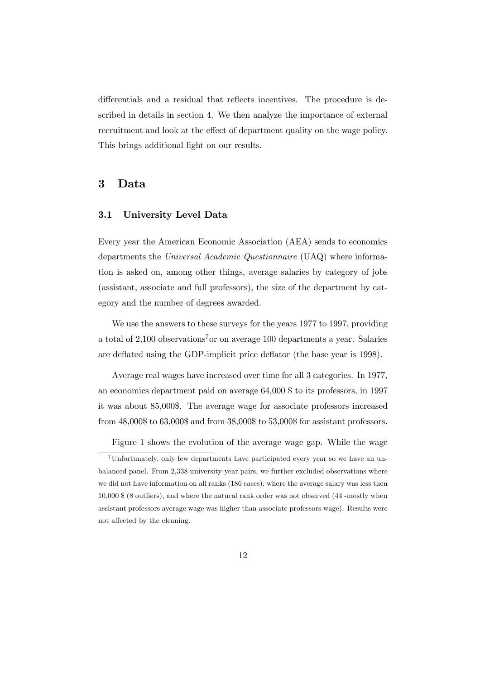differentials and a residual that reflects incentives. The procedure is described in details in section 4. We then analyze the importance of external recruitment and look at the effect of department quality on the wage policy. This brings additional light on our results.

## 3 Data

#### 3.1 University Level Data

Every year the American Economic Association (AEA) sends to economics departments the Universal Academic Questionnaire (UAQ) where information is asked on, among other things, average salaries by category of jobs (assistant, associate and full professors), the size of the department by category and the number of degrees awarded.

We use the answers to these surveys for the years 1977 to 1997, providing a total of  $2,100$  observations<sup>7</sup> or on average 100 departments a year. Salaries are deflated using the GDP-implicit price deflator (the base year is 1998).

Average real wages have increased over time for all 3 categories. In 1977, an economics department paid on average 64,000 \$ to its professors, in 1997 it was about 85,000\$. The average wage for associate professors increased from 48,000\$ to 63,000\$ and from 38,000\$ to 53,000\$ for assistant professors.

Figure 1 shows the evolution of the average wage gap. While the wage

 $7$ Unfortunately, only few departments have participated every year so we have an unbalanced panel. From 2,338 university-year pairs, we further excluded observations where we did not have information on all ranks (186 cases), where the average salary was less then 10,000 \$ (8 outliers), and where the natural rank order was not observed (44 -mostly when assistant professors average wage was higher than associate professors wage). Results were not affected by the cleaning.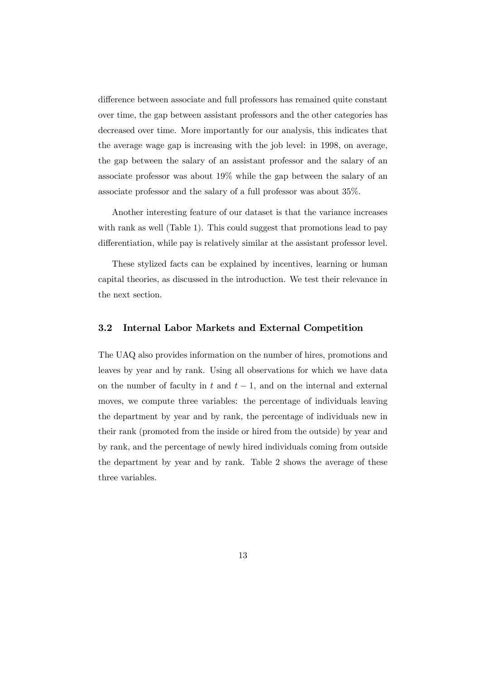difference between associate and full professors has remained quite constant over time, the gap between assistant professors and the other categories has decreased over time. More importantly for our analysis, this indicates that the average wage gap is increasing with the job level: in 1998, on average, the gap between the salary of an assistant professor and the salary of an associate professor was about 19% while the gap between the salary of an associate professor and the salary of a full professor was about 35%.

Another interesting feature of our dataset is that the variance increases with rank as well (Table 1). This could suggest that promotions lead to pay differentiation, while pay is relatively similar at the assistant professor level.

These stylized facts can be explained by incentives, learning or human capital theories, as discussed in the introduction. We test their relevance in the next section.

#### 3.2 Internal Labor Markets and External Competition

The UAQ also provides information on the number of hires, promotions and leaves by year and by rank. Using all observations for which we have data on the number of faculty in t and  $t - 1$ , and on the internal and external moves, we compute three variables: the percentage of individuals leaving the department by year and by rank, the percentage of individuals new in their rank (promoted from the inside or hired from the outside) by year and by rank, and the percentage of newly hired individuals coming from outside the department by year and by rank. Table 2 shows the average of these three variables.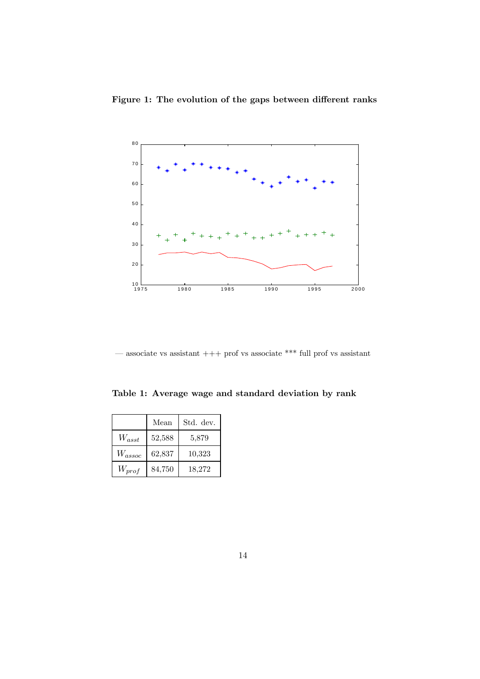



 $-$ associate vs assistant +++ prof vs associate \*\*\* full prof vs assistant

Table 1: Average wage and standard deviation by rank

|             | Mean   | Std. dev. |
|-------------|--------|-----------|
| $W_{asst}$  | 52,588 | 5,879     |
| $W_{assoc}$ | 62,837 | 10,323    |
| $W_{prof}$  | 84,750 | 18,272    |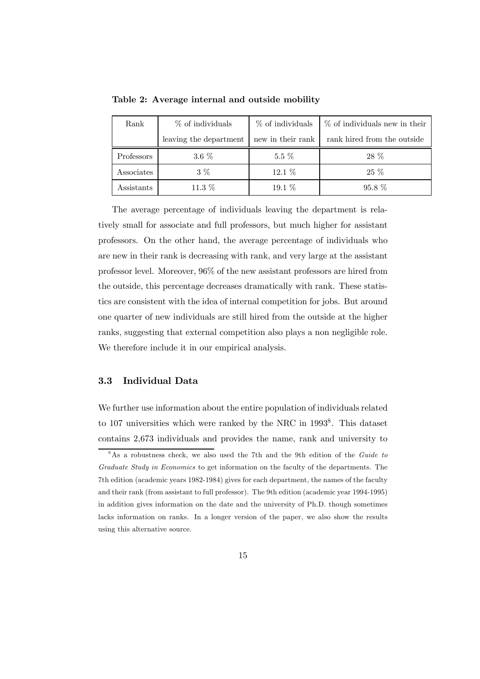| Rank       | $%$ of individuals     | $%$ of individuals | % of individuals new in their |
|------------|------------------------|--------------------|-------------------------------|
|            | leaving the department | new in their rank  | rank hired from the outside   |
| Professors | $3.6\%$                | $5.5\%$            | 28 %                          |
| Associates | $3\%$                  | 12.1 %             | 25 %                          |
| Assistants | $11.3\%$               | 19.1 %             | 95.8 %                        |

Table 2: Average internal and outside mobility

The average percentage of individuals leaving the department is relatively small for associate and full professors, but much higher for assistant professors. On the other hand, the average percentage of individuals who are new in their rank is decreasing with rank, and very large at the assistant professor level. Moreover, 96% of the new assistant professors are hired from the outside, this percentage decreases dramatically with rank. These statistics are consistent with the idea of internal competition for jobs. But around one quarter of new individuals are still hired from the outside at the higher ranks, suggesting that external competition also plays a non negligible role. We therefore include it in our empirical analysis.

### 3.3 Individual Data

We further use information about the entire population of individuals related to 107 universities which were ranked by the NRC in 19938. This dataset contains 2,673 individuals and provides the name, rank and university to

<sup>&</sup>lt;sup>8</sup>As a robustness check, we also used the 7th and the 9th edition of the Guide to Graduate Study in Economics to get information on the faculty of the departments. The 7th edition (academic years 1982-1984) gives for each department, the names of the faculty and their rank (from assistant to full professor). The 9th edition (academic year 1994-1995) in addition gives information on the date and the university of Ph.D. though sometimes lacks information on ranks. In a longer version of the paper, we also show the results using this alternative source.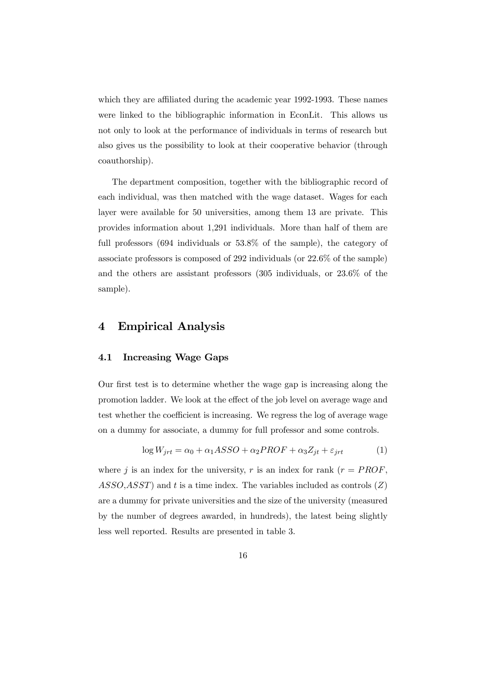which they are affiliated during the academic year 1992-1993. These names were linked to the bibliographic information in EconLit. This allows us not only to look at the performance of individuals in terms of research but also gives us the possibility to look at their cooperative behavior (through coauthorship).

The department composition, together with the bibliographic record of each individual, was then matched with the wage dataset. Wages for each layer were available for 50 universities, among them 13 are private. This provides information about 1,291 individuals. More than half of them are full professors (694 individuals or 53.8% of the sample), the category of associate professors is composed of 292 individuals (or 22.6% of the sample) and the others are assistant professors (305 individuals, or 23.6% of the sample).

# 4 Empirical Analysis

# 4.1 Increasing Wage Gaps

Our first test is to determine whether the wage gap is increasing along the promotion ladder. We look at the effect of the job level on average wage and test whether the coefficient is increasing. We regress the log of average wage on a dummy for associate, a dummy for full professor and some controls.

$$
\log W_{jrt} = \alpha_0 + \alpha_1 ASSO + \alpha_2 PROF + \alpha_3 Z_{jt} + \varepsilon_{jrt}
$$
 (1)

where j is an index for the university, r is an index for rank  $(r = PROF,$  $ASSO, ASST$ ) and t is a time index. The variables included as controls  $(Z)$ are a dummy for private universities and the size of the university (measured by the number of degrees awarded, in hundreds), the latest being slightly less well reported. Results are presented in table 3.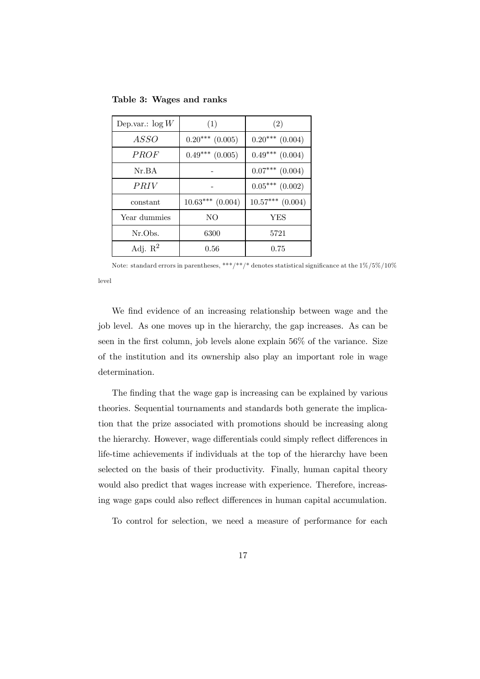Table 3: Wages and ranks

| Dep.var.: $\log W$ | (1)                  | (2)                  |
|--------------------|----------------------|----------------------|
| <i>ASSO</i>        | $0.20***$ (0.005)    | $0.20***$ (0.004)    |
| <i>PROF</i>        | $0.49***$ $(0.005)$  | $0.49***$ $(0.004)$  |
| Nr.BA              |                      | $0.07***$ $(0.004)$  |
| <i>PRIV</i>        |                      | $0.05***$ $(0.002)$  |
| constant           | $10.63***$ $(0.004)$ | $10.57***$ $(0.004)$ |
| Year dummies       | NO                   | <b>YES</b>           |
| Nr.Obs.            | 6300                 | 5721                 |
| Adj. $R^2$         | 0.56                 | 0.75                 |

Note: standard errors in parentheses, \*\*\*/\*\*/\* denotes statistical significance at the  $1\%/5\%/10\%$ level

We find evidence of an increasing relationship between wage and the job level. As one moves up in the hierarchy, the gap increases. As can be seen in the first column, job levels alone explain 56% of the variance. Size of the institution and its ownership also play an important role in wage determination.

The finding that the wage gap is increasing can be explained by various theories. Sequential tournaments and standards both generate the implication that the prize associated with promotions should be increasing along the hierarchy. However, wage differentials could simply reflect differences in life-time achievements if individuals at the top of the hierarchy have been selected on the basis of their productivity. Finally, human capital theory would also predict that wages increase with experience. Therefore, increasing wage gaps could also reflect differences in human capital accumulation.

To control for selection, we need a measure of performance for each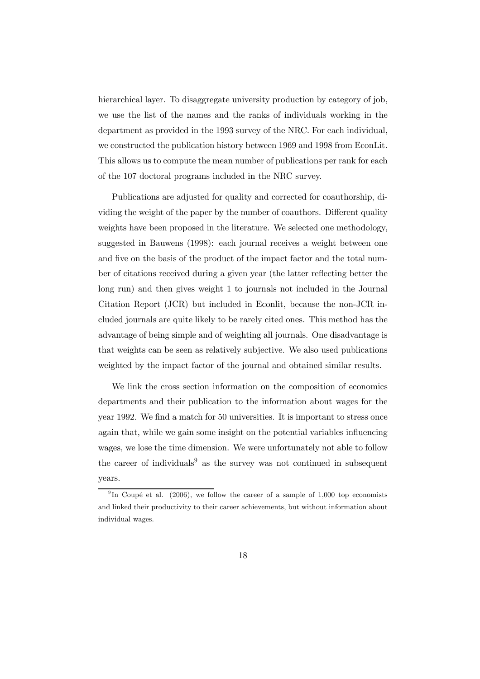hierarchical layer. To disaggregate university production by category of job, we use the list of the names and the ranks of individuals working in the department as provided in the 1993 survey of the NRC. For each individual, we constructed the publication history between 1969 and 1998 from EconLit. This allows us to compute the mean number of publications per rank for each of the 107 doctoral programs included in the NRC survey.

Publications are adjusted for quality and corrected for coauthorship, dividing the weight of the paper by the number of coauthors. Different quality weights have been proposed in the literature. We selected one methodology, suggested in Bauwens (1998): each journal receives a weight between one and five on the basis of the product of the impact factor and the total number of citations received during a given year (the latter reflecting better the long run) and then gives weight 1 to journals not included in the Journal Citation Report (JCR) but included in Econlit, because the non-JCR included journals are quite likely to be rarely cited ones. This method has the advantage of being simple and of weighting all journals. One disadvantage is that weights can be seen as relatively subjective. We also used publications weighted by the impact factor of the journal and obtained similar results.

We link the cross section information on the composition of economics departments and their publication to the information about wages for the year 1992. We find a match for 50 universities. It is important to stress once again that, while we gain some insight on the potential variables influencing wages, we lose the time dimension. We were unfortunately not able to follow the career of individuals $9$  as the survey was not continued in subsequent years.

<sup>&</sup>lt;sup>9</sup>In Coupé et al. (2006), we follow the career of a sample of 1,000 top economists and linked their productivity to their career achievements, but without information about individual wages.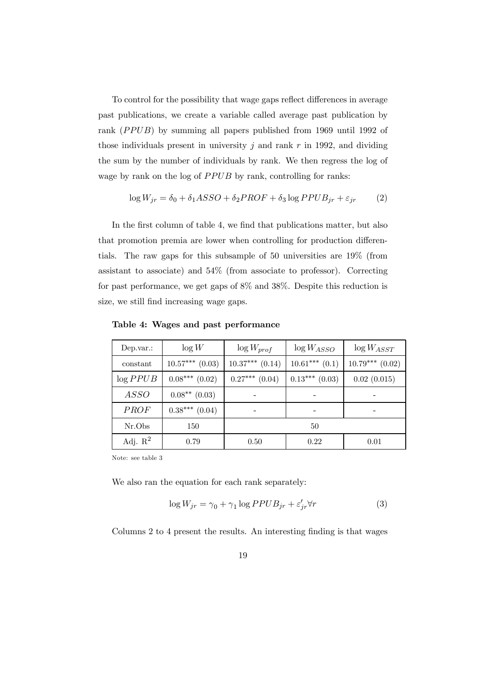To control for the possibility that wage gaps reflect differences in average past publications, we create a variable called average past publication by rank (PPUB) by summing all papers published from 1969 until 1992 of those individuals present in university  $j$  and rank  $r$  in 1992, and dividing the sum by the number of individuals by rank. We then regress the log of wage by rank on the log of *PPUB* by rank, controlling for ranks:

$$
\log W_{jr} = \delta_0 + \delta_1 ASSO + \delta_2 PROF + \delta_3 \log PPUB_{jr} + \varepsilon_{jr}
$$
 (2)

In the first column of table 4, we find that publications matter, but also that promotion premia are lower when controlling for production differentials. The raw gaps for this subsample of 50 universities are 19% (from assistant to associate) and 54% (from associate to professor). Correcting for past performance, we get gaps of 8% and 38%. Despite this reduction is size, we still find increasing wage gaps.

| Dep.var.:           | $\log W$            | $\log W_{prof}$     | $\log W_{ASSO}$    | $\log W_{ASST}$     |
|---------------------|---------------------|---------------------|--------------------|---------------------|
| constant            | $10.57***$ $(0.03)$ | $10.37***$ $(0.14)$ | $10.61***$ $(0.1)$ | $10.79***$ $(0.02)$ |
| $\log PPUB$         | $0.08***(0.02)$     | $0.27***$ (0.04)    | $0.13***$ (0.03)   | 0.02(0.015)         |
| <i>ASSO</i>         | $0.08***$ (0.03)    |                     |                    |                     |
| <b>PROF</b>         | $0.38***(0.04)$     |                     |                    |                     |
| Nr.Obs              | 150                 | 50                  |                    |                     |
| Adj. $\mathbb{R}^2$ | 0.79                | 0.50                | 0.22               | 0.01                |

Table 4: Wages and past performance

Note: see table 3

We also ran the equation for each rank separately:

$$
\log W_{jr} = \gamma_0 + \gamma_1 \log PPUB_{jr} + \varepsilon'_{jr} \forall r
$$
\n(3)

Columns 2 to 4 present the results. An interesting finding is that wages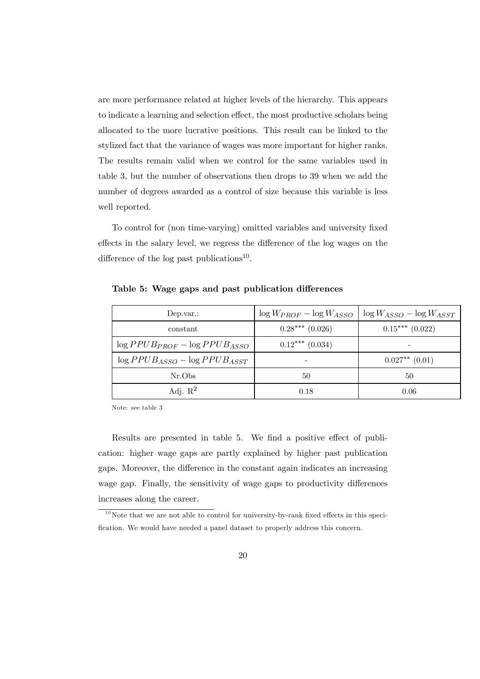are more performance related at higher levels of the hierarchy. This appears to indicate a learning and selection effect, the most productive scholars being allocated to the more lucrative positions. This result can be linked to the stylized fact that the variance of wages was more important for higher ranks. The results remain valid when we control for the same variables used in table 3, but the number of observations then drops to 39 when we add the number of degrees awarded as a control of size because this variable is less well reported.

To control for (non time-varying) omitted variables and university fixed effects in the salary level, we regress the difference of the log wages on the difference of the log past publications<sup>10</sup>.

| Dep.var.                              | $\log W_{PROF} - \log W_{ASSO}$ | $\log W_{ASSO} - \log W_{ASST}$ |
|---------------------------------------|---------------------------------|---------------------------------|
| constant                              | $0.28***(0.026)$                | $0.15***(0.022)$                |
| $\log PPUB_{PROF} - \log PPUB_{ASSO}$ | $0.12***$ (0.034)               |                                 |
| $\log PPUB_{ASSO} - \log PPUB_{ASST}$ |                                 | $0.027**$ $(0.01)$              |
| Nr.Obs                                | 50                              | 50                              |
| Adj. $\mathbb{R}^2$                   | 0.18                            | 0.06                            |

Table 5: Wage gaps and past publication differences

Note: see table 3

Results are presented in table 5. We find a positive effect of publication: higher wage gaps are partly explained by higher past publication gaps. Moreover, the difference in the constant again indicates an increasing wage gap. Finally, the sensitivity of wage gaps to productivity differences increases along the career.

 $10$  Note that we are not able to control for university-by-rank fixed effects in this specification. We would have needed a panel dataset to properly address this concern.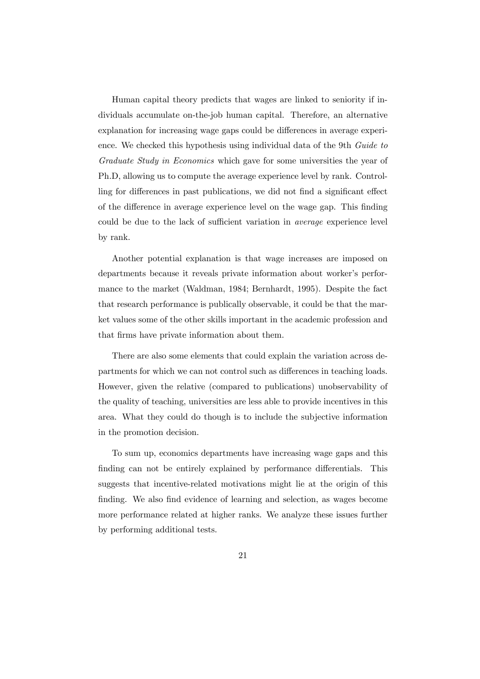Human capital theory predicts that wages are linked to seniority if individuals accumulate on-the-job human capital. Therefore, an alternative explanation for increasing wage gaps could be differences in average experience. We checked this hypothesis using individual data of the 9th Guide to Graduate Study in Economics which gave for some universities the year of Ph.D, allowing us to compute the average experience level by rank. Controlling for differences in past publications, we did not find a significant effect of the difference in average experience level on the wage gap. This finding could be due to the lack of sufficient variation in average experience level by rank.

Another potential explanation is that wage increases are imposed on departments because it reveals private information about worker's performance to the market (Waldman, 1984; Bernhardt, 1995). Despite the fact that research performance is publically observable, it could be that the market values some of the other skills important in the academic profession and that firms have private information about them.

There are also some elements that could explain the variation across departments for which we can not control such as differences in teaching loads. However, given the relative (compared to publications) unobservability of the quality of teaching, universities are less able to provide incentives in this area. What they could do though is to include the subjective information in the promotion decision.

To sum up, economics departments have increasing wage gaps and this finding can not be entirely explained by performance differentials. This suggests that incentive-related motivations might lie at the origin of this finding. We also find evidence of learning and selection, as wages become more performance related at higher ranks. We analyze these issues further by performing additional tests.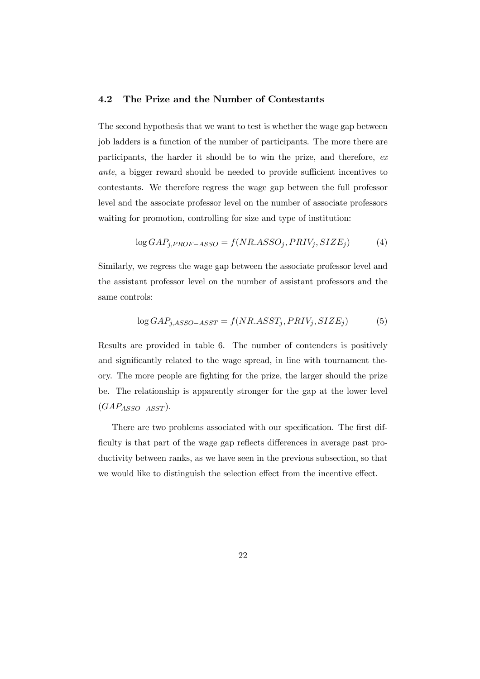#### 4.2 The Prize and the Number of Contestants

The second hypothesis that we want to test is whether the wage gap between job ladders is a function of the number of participants. The more there are participants, the harder it should be to win the prize, and therefore, ex ante, a bigger reward should be needed to provide sufficient incentives to contestants. We therefore regress the wage gap between the full professor level and the associate professor level on the number of associate professors waiting for promotion, controlling for size and type of institution:

$$
\log GAP_{j,PROF-ASSO} = f(NRASSO_j, PRIV_j, SIZE_j)
$$
 (4)

Similarly, we regress the wage gap between the associate professor level and the assistant professor level on the number of assistant professors and the same controls:

$$
\log GAP_{j,ASSO-ASST} = f(NR.ASST_j, PRIV_j, SIZE_j)
$$
 (5)

Results are provided in table 6. The number of contenders is positively and significantly related to the wage spread, in line with tournament theory. The more people are fighting for the prize, the larger should the prize be. The relationship is apparently stronger for the gap at the lower level  $(GAP_{ASSO-ASST}).$ 

There are two problems associated with our specification. The first difficulty is that part of the wage gap reflects differences in average past productivity between ranks, as we have seen in the previous subsection, so that we would like to distinguish the selection effect from the incentive effect.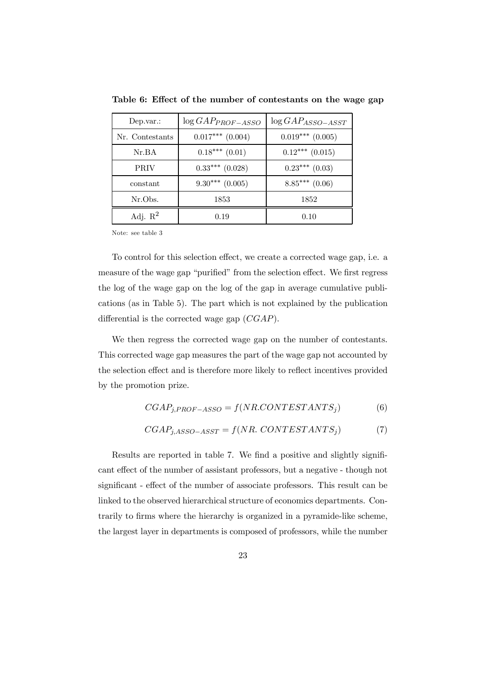| Dep.var.:           | $\log GAP_{PROF-ASSO}$ | $\log\text{GAP}_{ASSO-ASST}$ |
|---------------------|------------------------|------------------------------|
| Nr. Contestants     | $0.017***$ $(0.004)$   | $0.019***$ $(0.005)$         |
| Nr.BA               | $0.18***(0.01)$        | $0.12***$ $(0.015)$          |
| PRIV                | $0.33***$ $(0.028)$    | $0.23***$ $(0.03)$           |
| constant            | $9.30***$ $(0.005)$    | $8.85***(0.06)$              |
| Nr.Obs.             | 1853                   | 1852                         |
| Adj. $\mathbb{R}^2$ | 0.19                   | 0.10                         |

Table 6: Effect of the number of contestants on the wage gap

Note: see table 3

To control for this selection effect, we create a corrected wage gap, i.e. a measure of the wage gap "purified" from the selection effect. We first regress the log of the wage gap on the log of the gap in average cumulative publications (as in Table 5). The part which is not explained by the publication differential is the corrected wage gap (CGAP).

We then regress the corrected wage gap on the number of contestants. This corrected wage gap measures the part of the wage gap not accounted by the selection effect and is therefore more likely to reflect incentives provided by the promotion prize.

$$
CGAP_{j,PROF-ASSO} = f(NR.CONTESTANTS_j)
$$
 (6)

$$
CGAPj,ASSO-ASST = f(NR. CONTESTANTSj)
$$
 (7)

Results are reported in table 7. We find a positive and slightly significant effect of the number of assistant professors, but a negative - though not significant - effect of the number of associate professors. This result can be linked to the observed hierarchical structure of economics departments. Contrarily to firms where the hierarchy is organized in a pyramide-like scheme, the largest layer in departments is composed of professors, while the number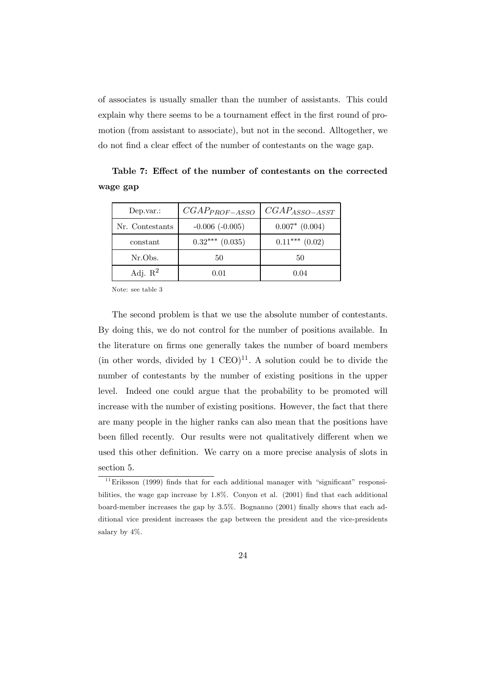of associates is usually smaller than the number of assistants. This could explain why there seems to be a tournament effect in the first round of promotion (from assistant to associate), but not in the second. Alltogether, we do not find a clear effect of the number of contestants on the wage gap.

| Dep. var.:          | $CGAP_{PROF-ASSO}$  | $CGAP_{ASSO-ASST}$ |
|---------------------|---------------------|--------------------|
| Nr. Contestants     | $-0.006$ $(-0.005)$ | $0.007*$ (0.004)   |
| constant            | $0.32***$ (0.035)   | $0.11***$ (0.02)   |
| Nr.Obs.             | 50                  | 50                 |
| Adj. $\mathbb{R}^2$ | 0.01                | 0.04               |

Table 7: Effect of the number of contestants on the corrected wage gap

Note: see table 3

The second problem is that we use the absolute number of contestants. By doing this, we do not control for the number of positions available. In the literature on firms one generally takes the number of board members (in other words, divided by  $1 \text{ CEO}$ )<sup>11</sup>. A solution could be to divide the number of contestants by the number of existing positions in the upper level. Indeed one could argue that the probability to be promoted will increase with the number of existing positions. However, the fact that there are many people in the higher ranks can also mean that the positions have been filled recently. Our results were not qualitatively different when we used this other definition. We carry on a more precise analysis of slots in section 5.

 $11$ Eriksson (1999) finds that for each additional manager with "significant" responsibilities, the wage gap increase by 1.8%. Conyon et al. (2001) find that each additional board-member increases the gap by 3.5%. Bognanno (2001) finally shows that each additional vice president increases the gap between the president and the vice-presidents salary by 4%.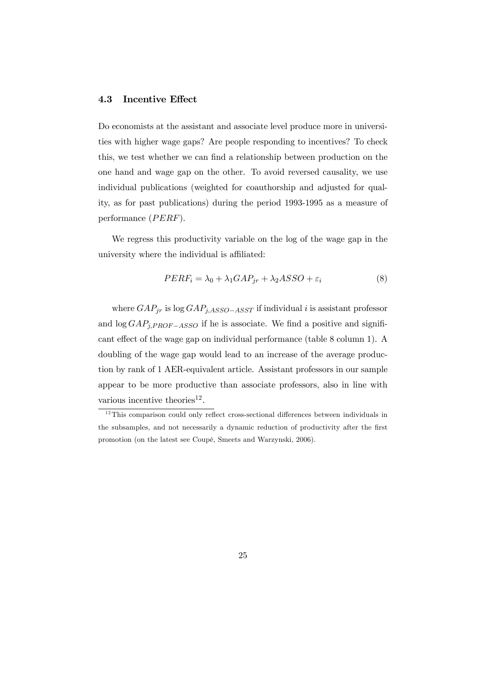#### 4.3 Incentive Effect

Do economists at the assistant and associate level produce more in universities with higher wage gaps? Are people responding to incentives? To check this, we test whether we can find a relationship between production on the one hand and wage gap on the other. To avoid reversed causality, we use individual publications (weighted for coauthorship and adjusted for quality, as for past publications) during the period 1993-1995 as a measure of performance  $(PERF)$ .

We regress this productivity variable on the log of the wage gap in the university where the individual is affiliated:

$$
PERF_i = \lambda_0 + \lambda_1 GAP_{jr} + \lambda_2 ASSO + \varepsilon_i \tag{8}
$$

where  $GAP_{jr}$  is log  $GAP_{j,ASSO-ASST}$  if individual i is assistant professor and  $\log GAP_{j,PROF-ASSO}$  if he is associate. We find a positive and significant effect of the wage gap on individual performance (table 8 column 1). A doubling of the wage gap would lead to an increase of the average production by rank of 1 AER-equivalent article. Assistant professors in our sample appear to be more productive than associate professors, also in line with various incentive theories $^{12}$ .

 $12$ This comparison could only reflect cross-sectional differences between individuals in the subsamples, and not necessarily a dynamic reduction of productivity after the first promotion (on the latest see Coupé, Smeets and Warzynski, 2006).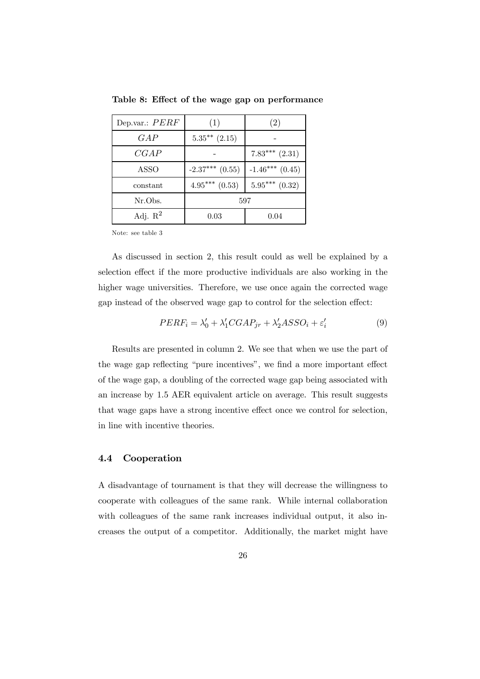| Dep.var.: $PERF$ | (1)                 | (2)                |
|------------------|---------------------|--------------------|
| GAP              | $5.35**$ $(2.15)$   |                    |
| CGAP             |                     | $7.83***$ $(2.31)$ |
| ASSO             | $-2.37***$ $(0.55)$ | $-1.46***$ (0.45)  |
| constant         | $4.95***(0.53)$     | $5.95***$ $(0.32)$ |
| Nr.Obs.          | 597                 |                    |
| Adj. $R^2$       | 0.03                | 0.04               |

Table 8: Effect of the wage gap on performance

Note: see table 3

As discussed in section 2, this result could as well be explained by a selection effect if the more productive individuals are also working in the higher wage universities. Therefore, we use once again the corrected wage gap instead of the observed wage gap to control for the selection effect:

$$
PERF_i = \lambda'_0 + \lambda'_1 CGAP_{jr} + \lambda'_2 ASSO_i + \varepsilon'_i
$$
\n
$$
(9)
$$

Results are presented in column 2. We see that when we use the part of the wage gap reflecting "pure incentives", we find a more important effect of the wage gap, a doubling of the corrected wage gap being associated with an increase by 1.5 AER equivalent article on average. This result suggests that wage gaps have a strong incentive effect once we control for selection, in line with incentive theories.

## 4.4 Cooperation

A disadvantage of tournament is that they will decrease the willingness to cooperate with colleagues of the same rank. While internal collaboration with colleagues of the same rank increases individual output, it also increases the output of a competitor. Additionally, the market might have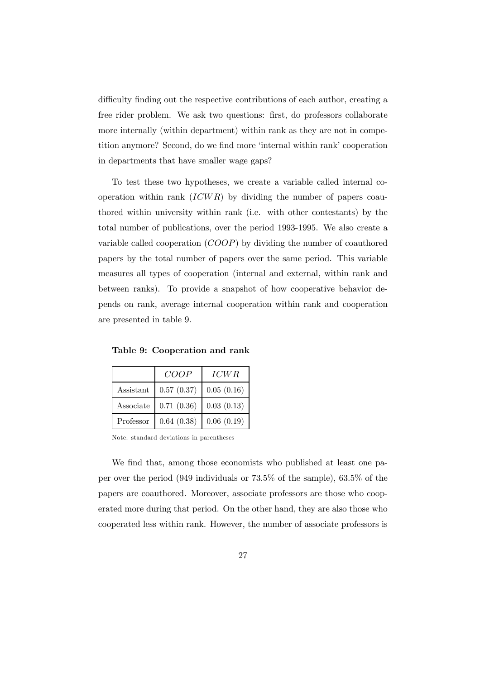difficulty finding out the respective contributions of each author, creating a free rider problem. We ask two questions: first, do professors collaborate more internally (within department) within rank as they are not in competition anymore? Second, do we find more 'internal within rank' cooperation in departments that have smaller wage gaps?

To test these two hypotheses, we create a variable called internal cooperation within rank  $(ICWR)$  by dividing the number of papers coauthored within university within rank (i.e. with other contestants) by the total number of publications, over the period 1993-1995. We also create a variable called cooperation (COOP) by dividing the number of coauthored papers by the total number of papers over the same period. This variable measures all types of cooperation (internal and external, within rank and between ranks). To provide a snapshot of how cooperative behavior depends on rank, average internal cooperation within rank and cooperation are presented in table 9.

|           | COOP       | <i>ICWR</i> |
|-----------|------------|-------------|
| Assistant | 0.57(0.37) | 0.05(0.16)  |
| Associate | 0.71(0.36) | 0.03(0.13)  |
| Professor | 0.64(0.38) | 0.06(0.19)  |

Table 9: Cooperation and rank

Note: standard deviations in parentheses

We find that, among those economists who published at least one paper over the period (949 individuals or 73.5% of the sample), 63.5% of the papers are coauthored. Moreover, associate professors are those who cooperated more during that period. On the other hand, they are also those who cooperated less within rank. However, the number of associate professors is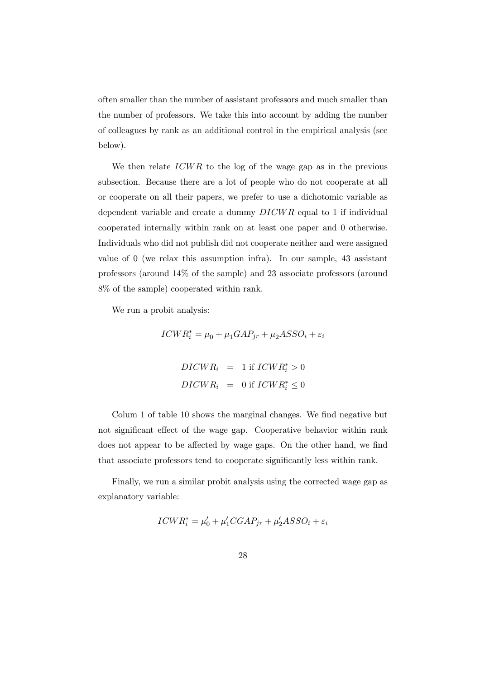often smaller than the number of assistant professors and much smaller than the number of professors. We take this into account by adding the number of colleagues by rank as an additional control in the empirical analysis (see below).

We then relate  $ICWR$  to the log of the wage gap as in the previous subsection. Because there are a lot of people who do not cooperate at all or cooperate on all their papers, we prefer to use a dichotomic variable as dependent variable and create a dummy DICWR equal to 1 if individual cooperated internally within rank on at least one paper and 0 otherwise. Individuals who did not publish did not cooperate neither and were assigned value of 0 (we relax this assumption infra). In our sample, 43 assistant professors (around 14% of the sample) and 23 associate professors (around 8% of the sample) cooperated within rank.

We run a probit analysis:

$$
ICWR_i^* = \mu_0 + \mu_1 GAP_{jr} + \mu_2 ASSO_i + \varepsilon_i
$$

$$
DICWR_i = 1 \text{ if } ICWR_i^* > 0
$$
  

$$
DICWR_i = 0 \text{ if } ICWR_i^* \le 0
$$

Colum 1 of table 10 shows the marginal changes. We find negative but not significant effect of the wage gap. Cooperative behavior within rank does not appear to be affected by wage gaps. On the other hand, we find that associate professors tend to cooperate significantly less within rank.

Finally, we run a similar probit analysis using the corrected wage gap as explanatory variable:

$$
ICWR_i^* = \mu_0' + \mu_1'CGAP_{jr} + \mu_2'ASSO_i + \varepsilon_i
$$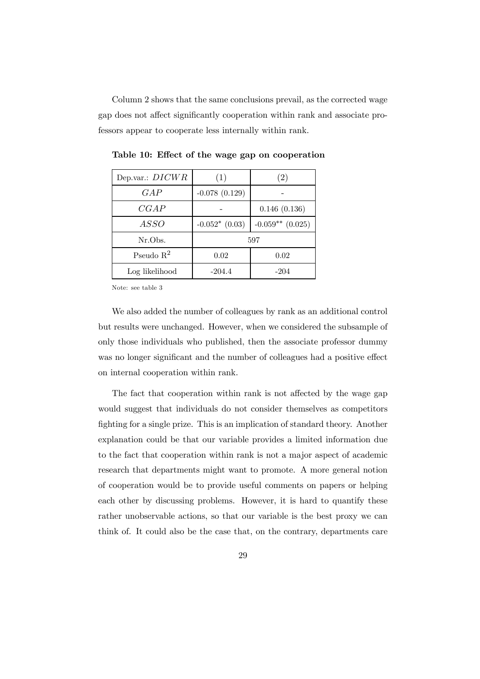Column 2 shows that the same conclusions prevail, as the corrected wage gap does not affect significantly cooperation within rank and associate professors appear to cooperate less internally within rank.

| Dep.var.: $DICWR$ | (1)             | (2)                |
|-------------------|-----------------|--------------------|
| GAP               | $-0.078(0.129)$ |                    |
| CGAP              |                 | 0.146(0.136)       |
| <i>ASSO</i>       | $-0.052*(0.03)$ | $-0.059**$ (0.025) |
| Nr.Obs.           | 597             |                    |
| Pseudo $R^2$      | 0.02            | 0.02               |
| Log likelihood    | $-204.4$        | -204               |

Table 10: Effect of the wage gap on cooperation

Note: see table 3

We also added the number of colleagues by rank as an additional control but results were unchanged. However, when we considered the subsample of only those individuals who published, then the associate professor dummy was no longer significant and the number of colleagues had a positive effect on internal cooperation within rank.

The fact that cooperation within rank is not affected by the wage gap would suggest that individuals do not consider themselves as competitors fighting for a single prize. This is an implication of standard theory. Another explanation could be that our variable provides a limited information due to the fact that cooperation within rank is not a major aspect of academic research that departments might want to promote. A more general notion of cooperation would be to provide useful comments on papers or helping each other by discussing problems. However, it is hard to quantify these rather unobservable actions, so that our variable is the best proxy we can think of. It could also be the case that, on the contrary, departments care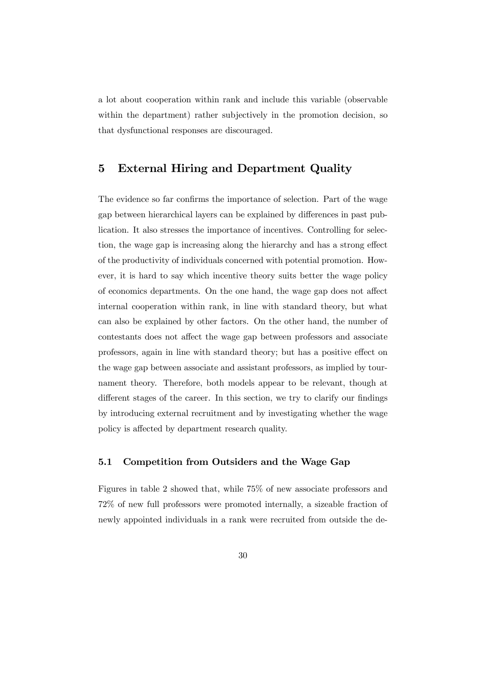a lot about cooperation within rank and include this variable (observable within the department) rather subjectively in the promotion decision, so that dysfunctional responses are discouraged.

# 5 External Hiring and Department Quality

The evidence so far confirms the importance of selection. Part of the wage gap between hierarchical layers can be explained by differences in past publication. It also stresses the importance of incentives. Controlling for selection, the wage gap is increasing along the hierarchy and has a strong effect of the productivity of individuals concerned with potential promotion. However, it is hard to say which incentive theory suits better the wage policy of economics departments. On the one hand, the wage gap does not affect internal cooperation within rank, in line with standard theory, but what can also be explained by other factors. On the other hand, the number of contestants does not affect the wage gap between professors and associate professors, again in line with standard theory; but has a positive effect on the wage gap between associate and assistant professors, as implied by tournament theory. Therefore, both models appear to be relevant, though at different stages of the career. In this section, we try to clarify our findings by introducing external recruitment and by investigating whether the wage policy is affected by department research quality.

## 5.1 Competition from Outsiders and the Wage Gap

Figures in table 2 showed that, while 75% of new associate professors and 72% of new full professors were promoted internally, a sizeable fraction of newly appointed individuals in a rank were recruited from outside the de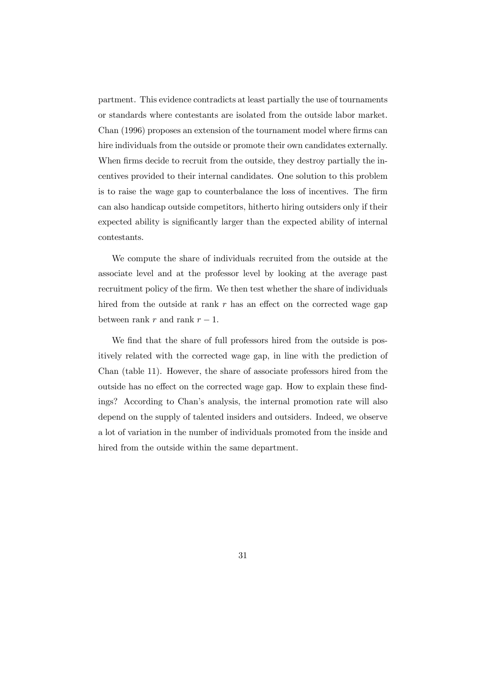partment. This evidence contradicts at least partially the use of tournaments or standards where contestants are isolated from the outside labor market. Chan (1996) proposes an extension of the tournament model where firms can hire individuals from the outside or promote their own candidates externally. When firms decide to recruit from the outside, they destroy partially the incentives provided to their internal candidates. One solution to this problem is to raise the wage gap to counterbalance the loss of incentives. The firm can also handicap outside competitors, hitherto hiring outsiders only if their expected ability is significantly larger than the expected ability of internal contestants.

We compute the share of individuals recruited from the outside at the associate level and at the professor level by looking at the average past recruitment policy of the firm. We then test whether the share of individuals hired from the outside at rank  $r$  has an effect on the corrected wage gap between rank r and rank  $r - 1$ .

We find that the share of full professors hired from the outside is positively related with the corrected wage gap, in line with the prediction of Chan (table 11). However, the share of associate professors hired from the outside has no effect on the corrected wage gap. How to explain these findings? According to Chan's analysis, the internal promotion rate will also depend on the supply of talented insiders and outsiders. Indeed, we observe a lot of variation in the number of individuals promoted from the inside and hired from the outside within the same department.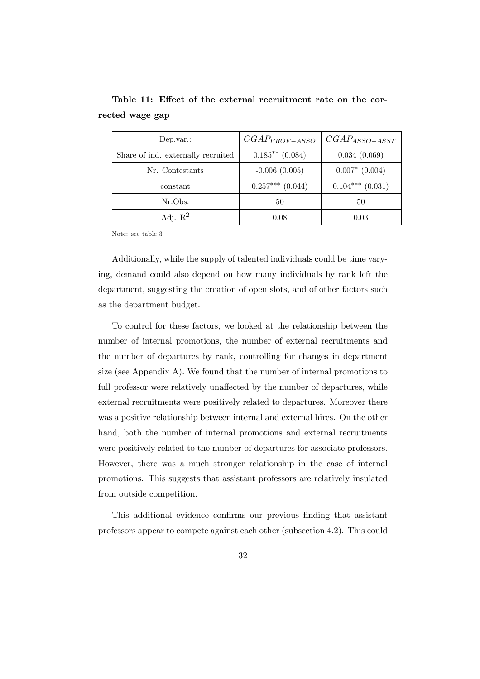| Dep.var.                           | $CGAP_{PROF-ASSO}$   | $CGAP_{ASSO-ASST}$   |
|------------------------------------|----------------------|----------------------|
| Share of ind. externally recruited | $0.185***$ (0.084)   | 0.034(0.069)         |
| Nr. Contestants                    | $-0.006(0.005)$      | $0.007*$ (0.004)     |
| constant                           | $0.257***$ $(0.044)$ | $0.104***$ $(0.031)$ |
| Nr.Obs.                            | 50                   | 50                   |
| Adj. $\mathbb{R}^2$                | 0.08                 | 0.03                 |

Table 11: Effect of the external recruitment rate on the corrected wage gap

Note: see table 3

Additionally, while the supply of talented individuals could be time varying, demand could also depend on how many individuals by rank left the department, suggesting the creation of open slots, and of other factors such as the department budget.

To control for these factors, we looked at the relationship between the number of internal promotions, the number of external recruitments and the number of departures by rank, controlling for changes in department size (see Appendix A). We found that the number of internal promotions to full professor were relatively unaffected by the number of departures, while external recruitments were positively related to departures. Moreover there was a positive relationship between internal and external hires. On the other hand, both the number of internal promotions and external recruitments were positively related to the number of departures for associate professors. However, there was a much stronger relationship in the case of internal promotions. This suggests that assistant professors are relatively insulated from outside competition.

This additional evidence confirms our previous finding that assistant professors appear to compete against each other (subsection 4.2). This could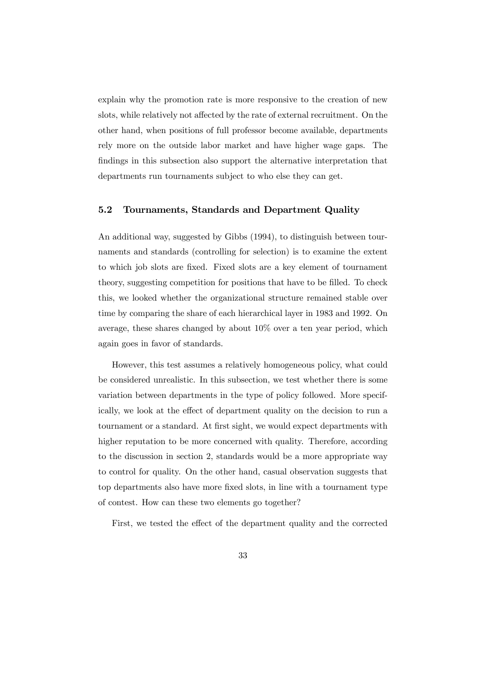explain why the promotion rate is more responsive to the creation of new slots, while relatively not affected by the rate of external recruitment. On the other hand, when positions of full professor become available, departments rely more on the outside labor market and have higher wage gaps. The findings in this subsection also support the alternative interpretation that departments run tournaments subject to who else they can get.

## 5.2 Tournaments, Standards and Department Quality

An additional way, suggested by Gibbs (1994), to distinguish between tournaments and standards (controlling for selection) is to examine the extent to which job slots are fixed. Fixed slots are a key element of tournament theory, suggesting competition for positions that have to be filled. To check this, we looked whether the organizational structure remained stable over time by comparing the share of each hierarchical layer in 1983 and 1992. On average, these shares changed by about 10% over a ten year period, which again goes in favor of standards.

However, this test assumes a relatively homogeneous policy, what could be considered unrealistic. In this subsection, we test whether there is some variation between departments in the type of policy followed. More specifically, we look at the effect of department quality on the decision to run a tournament or a standard. At first sight, we would expect departments with higher reputation to be more concerned with quality. Therefore, according to the discussion in section 2, standards would be a more appropriate way to control for quality. On the other hand, casual observation suggests that top departments also have more fixed slots, in line with a tournament type of contest. How can these two elements go together?

First, we tested the effect of the department quality and the corrected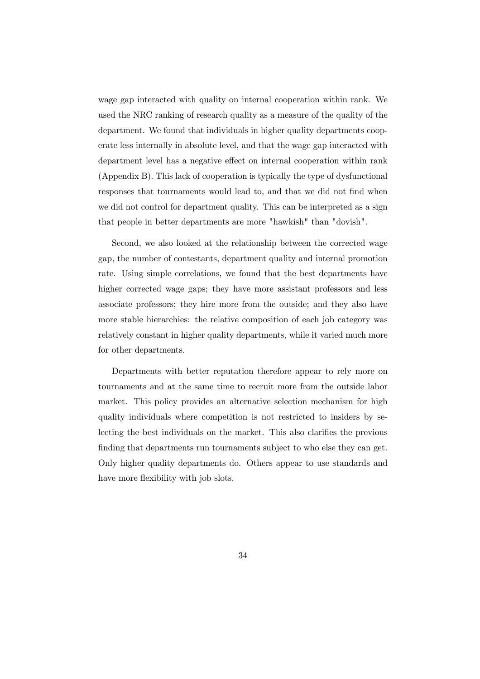wage gap interacted with quality on internal cooperation within rank. We used the NRC ranking of research quality as a measure of the quality of the department. We found that individuals in higher quality departments cooperate less internally in absolute level, and that the wage gap interacted with department level has a negative effect on internal cooperation within rank (Appendix B). This lack of cooperation is typically the type of dysfunctional responses that tournaments would lead to, and that we did not find when we did not control for department quality. This can be interpreted as a sign that people in better departments are more "hawkish" than "dovish".

Second, we also looked at the relationship between the corrected wage gap, the number of contestants, department quality and internal promotion rate. Using simple correlations, we found that the best departments have higher corrected wage gaps; they have more assistant professors and less associate professors; they hire more from the outside; and they also have more stable hierarchies: the relative composition of each job category was relatively constant in higher quality departments, while it varied much more for other departments.

Departments with better reputation therefore appear to rely more on tournaments and at the same time to recruit more from the outside labor market. This policy provides an alternative selection mechanism for high quality individuals where competition is not restricted to insiders by selecting the best individuals on the market. This also clarifies the previous finding that departments run tournaments subject to who else they can get. Only higher quality departments do. Others appear to use standards and have more flexibility with job slots.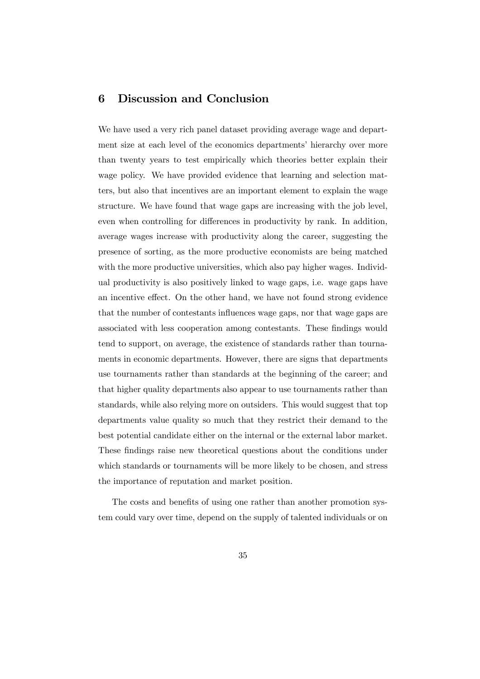# 6 Discussion and Conclusion

We have used a very rich panel dataset providing average wage and department size at each level of the economics departments' hierarchy over more than twenty years to test empirically which theories better explain their wage policy. We have provided evidence that learning and selection matters, but also that incentives are an important element to explain the wage structure. We have found that wage gaps are increasing with the job level, even when controlling for differences in productivity by rank. In addition, average wages increase with productivity along the career, suggesting the presence of sorting, as the more productive economists are being matched with the more productive universities, which also pay higher wages. Individual productivity is also positively linked to wage gaps, i.e. wage gaps have an incentive effect. On the other hand, we have not found strong evidence that the number of contestants influences wage gaps, nor that wage gaps are associated with less cooperation among contestants. These findings would tend to support, on average, the existence of standards rather than tournaments in economic departments. However, there are signs that departments use tournaments rather than standards at the beginning of the career; and that higher quality departments also appear to use tournaments rather than standards, while also relying more on outsiders. This would suggest that top departments value quality so much that they restrict their demand to the best potential candidate either on the internal or the external labor market. These findings raise new theoretical questions about the conditions under which standards or tournaments will be more likely to be chosen, and stress the importance of reputation and market position.

The costs and benefits of using one rather than another promotion system could vary over time, depend on the supply of talented individuals or on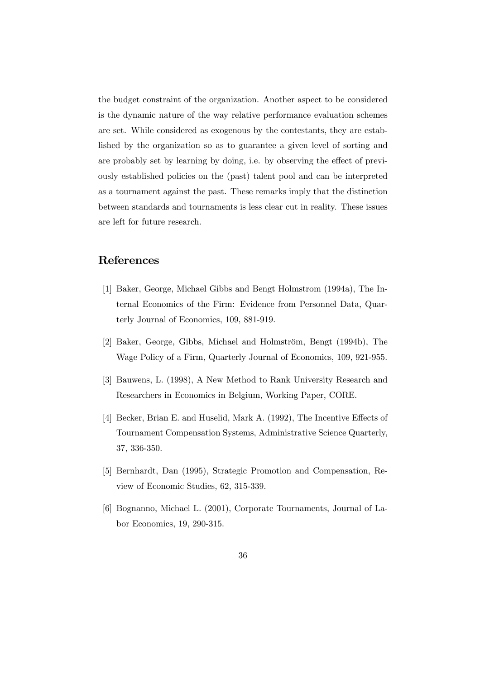the budget constraint of the organization. Another aspect to be considered is the dynamic nature of the way relative performance evaluation schemes are set. While considered as exogenous by the contestants, they are established by the organization so as to guarantee a given level of sorting and are probably set by learning by doing, i.e. by observing the effect of previously established policies on the (past) talent pool and can be interpreted as a tournament against the past. These remarks imply that the distinction between standards and tournaments is less clear cut in reality. These issues are left for future research.

# References

- [1] Baker, George, Michael Gibbs and Bengt Holmstrom (1994a), The Internal Economics of the Firm: Evidence from Personnel Data, Quarterly Journal of Economics, 109, 881-919.
- [2] Baker, George, Gibbs, Michael and Holmström, Bengt (1994b), The Wage Policy of a Firm, Quarterly Journal of Economics, 109, 921-955.
- [3] Bauwens, L. (1998), A New Method to Rank University Research and Researchers in Economics in Belgium, Working Paper, CORE.
- [4] Becker, Brian E. and Huselid, Mark A. (1992), The Incentive Effects of Tournament Compensation Systems, Administrative Science Quarterly, 37, 336-350.
- [5] Bernhardt, Dan (1995), Strategic Promotion and Compensation, Review of Economic Studies, 62, 315-339.
- [6] Bognanno, Michael L. (2001), Corporate Tournaments, Journal of Labor Economics, 19, 290-315.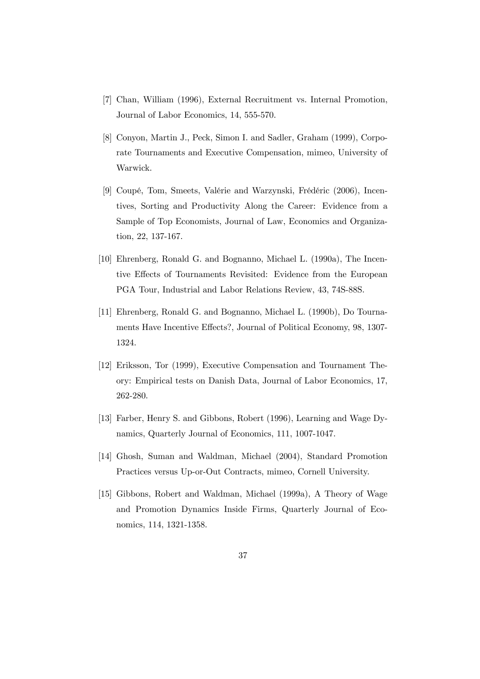- [7] Chan, William (1996), External Recruitment vs. Internal Promotion, Journal of Labor Economics, 14, 555-570.
- [8] Conyon, Martin J., Peck, Simon I. and Sadler, Graham (1999), Corporate Tournaments and Executive Compensation, mimeo, University of Warwick.
- [9] Coupé, Tom, Smeets, Valérie and Warzynski, Frédéric (2006), Incentives, Sorting and Productivity Along the Career: Evidence from a Sample of Top Economists, Journal of Law, Economics and Organization, 22, 137-167.
- [10] Ehrenberg, Ronald G. and Bognanno, Michael L. (1990a), The Incentive Effects of Tournaments Revisited: Evidence from the European PGA Tour, Industrial and Labor Relations Review, 43, 74S-88S.
- [11] Ehrenberg, Ronald G. and Bognanno, Michael L. (1990b), Do Tournaments Have Incentive Effects?, Journal of Political Economy, 98, 1307- 1324.
- [12] Eriksson, Tor (1999), Executive Compensation and Tournament Theory: Empirical tests on Danish Data, Journal of Labor Economics, 17, 262-280.
- [13] Farber, Henry S. and Gibbons, Robert (1996), Learning and Wage Dynamics, Quarterly Journal of Economics, 111, 1007-1047.
- [14] Ghosh, Suman and Waldman, Michael (2004), Standard Promotion Practices versus Up-or-Out Contracts, mimeo, Cornell University.
- [15] Gibbons, Robert and Waldman, Michael (1999a), A Theory of Wage and Promotion Dynamics Inside Firms, Quarterly Journal of Economics, 114, 1321-1358.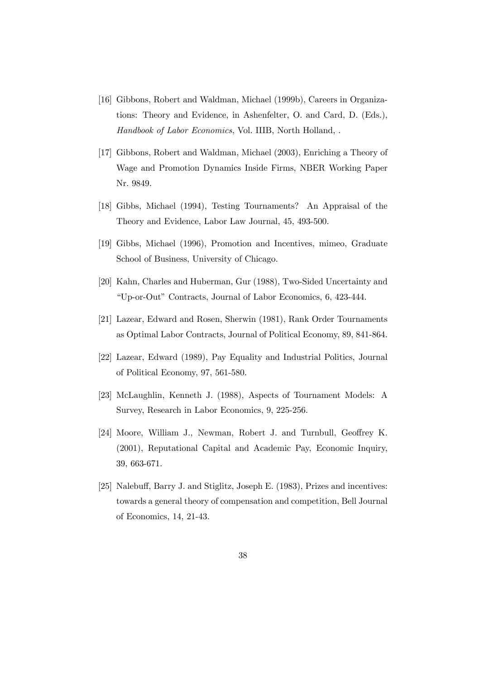- [16] Gibbons, Robert and Waldman, Michael (1999b), Careers in Organizations: Theory and Evidence, in Ashenfelter, O. and Card, D. (Eds.), Handbook of Labor Economics, Vol. IIIB, North Holland, .
- [17] Gibbons, Robert and Waldman, Michael (2003), Enriching a Theory of Wage and Promotion Dynamics Inside Firms, NBER Working Paper Nr. 9849.
- [18] Gibbs, Michael (1994), Testing Tournaments? An Appraisal of the Theory and Evidence, Labor Law Journal, 45, 493-500.
- [19] Gibbs, Michael (1996), Promotion and Incentives, mimeo, Graduate School of Business, University of Chicago.
- [20] Kahn, Charles and Huberman, Gur (1988), Two-Sided Uncertainty and "Up-or-Out" Contracts, Journal of Labor Economics, 6, 423-444.
- [21] Lazear, Edward and Rosen, Sherwin (1981), Rank Order Tournaments as Optimal Labor Contracts, Journal of Political Economy, 89, 841-864.
- [22] Lazear, Edward (1989), Pay Equality and Industrial Politics, Journal of Political Economy, 97, 561-580.
- [23] McLaughlin, Kenneth J. (1988), Aspects of Tournament Models: A Survey, Research in Labor Economics, 9, 225-256.
- [24] Moore, William J., Newman, Robert J. and Turnbull, Geoffrey K. (2001), Reputational Capital and Academic Pay, Economic Inquiry, 39, 663-671.
- [25] Nalebuff, Barry J. and Stiglitz, Joseph E. (1983), Prizes and incentives: towards a general theory of compensation and competition, Bell Journal of Economics, 14, 21-43.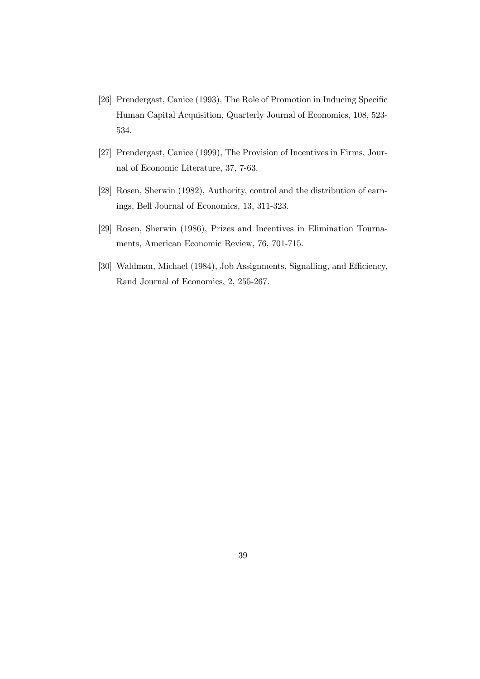- [26] Prendergast, Canice (1993), The Role of Promotion in Inducing Specific Human Capital Acquisition, Quarterly Journal of Economics, 108, 523- 534.
- [27] Prendergast, Canice (1999), The Provision of Incentives in Firms, Journal of Economic Literature, 37, 7-63.
- [28] Rosen, Sherwin (1982), Authority, control and the distribution of earnings, Bell Journal of Economics, 13, 311-323.
- [29] Rosen, Sherwin (1986), Prizes and Incentives in Elimination Tournaments, American Economic Review, 76, 701-715.
- [30] Waldman, Michael (1984), Job Assignments, Signalling, and Efficiency, Rand Journal of Economics, 2, 255-267.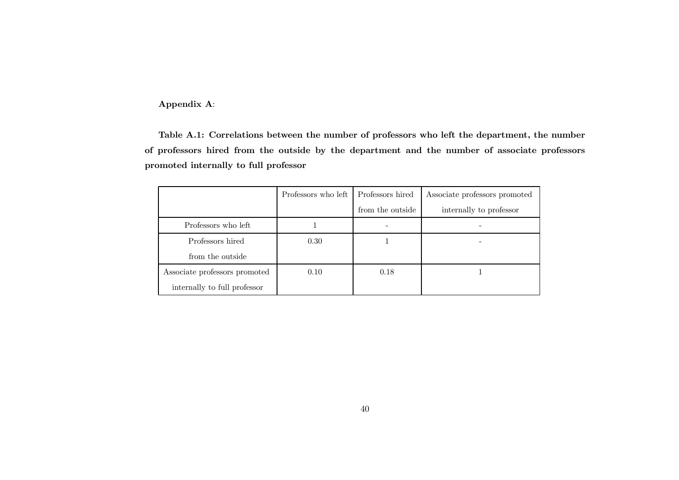## Appendix A:

Table A.1: Correlations between the number of professors who left the department, the number of professors hired from the outside by the department and the number of associate professors promoted internally to full professor

|                               | Professors who left | Professors hired | Associate professors promoted |
|-------------------------------|---------------------|------------------|-------------------------------|
|                               |                     | from the outside | internally to professor       |
| Professors who left           |                     |                  |                               |
| Professors hired              | 0.30                |                  |                               |
| from the outside              |                     |                  |                               |
| Associate professors promoted | 0.10                | 0.18             |                               |
| internally to full professor  |                     |                  |                               |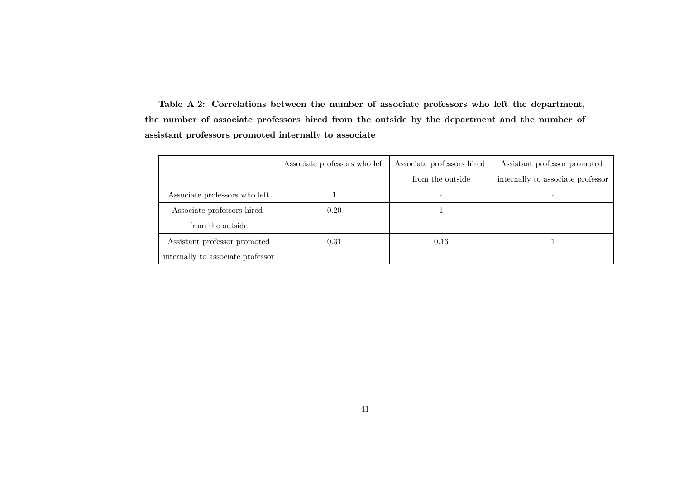Table A.2: Correlations between the number of associate professors who left the department, the number of associate professors hired from the outside by the department and the number of assistant professors promoted internall y to associate

|                                   | Associate professors who left | Associate professors hired | Assistant professor promoted      |
|-----------------------------------|-------------------------------|----------------------------|-----------------------------------|
|                                   |                               | from the outside           | internally to associate professor |
| Associate professors who left     |                               |                            |                                   |
| Associate professors hired        | 0.20                          |                            |                                   |
| from the outside                  |                               |                            |                                   |
| Assistant professor promoted      | 0.31                          | 0.16                       |                                   |
| internally to associate professor |                               |                            |                                   |